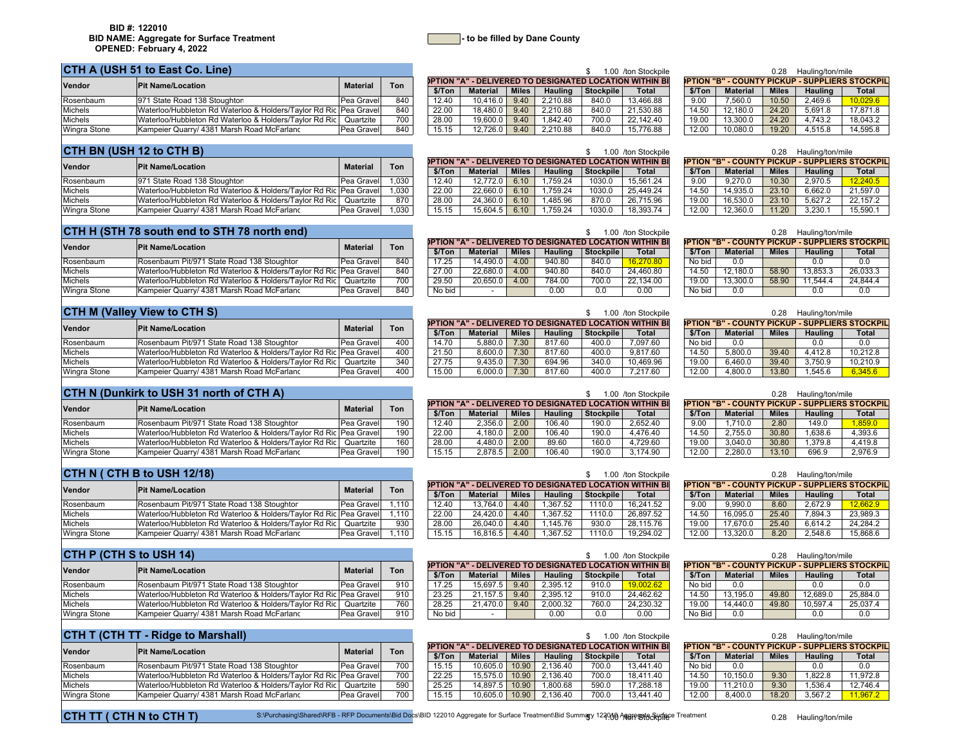#### **CTH A (USH 51 to East Co. Line)**

| Vendor              | <b>Pit Name/Location</b>                                          | <b>Material</b> | Ton |        |                 |              |          |                  | <b>)PTION "A" - DELIVERED TO DESIGNATED LOCATION WITHIN BI</b> |        | )PTION "B" - COUNTY PICKUP - SUPPLIERS STOCKI |              |                |              |
|---------------------|-------------------------------------------------------------------|-----------------|-----|--------|-----------------|--------------|----------|------------------|----------------------------------------------------------------|--------|-----------------------------------------------|--------------|----------------|--------------|
|                     |                                                                   |                 |     | \$/Ton | <b>Material</b> | <b>Miles</b> | Hauling  | <b>Stockpile</b> | <b>Total</b>                                                   | \$/Ton | <b>Material</b>                               | <b>Miles</b> | <b>Hauling</b> | <b>Total</b> |
| Rosenbaum           | 971 State Road 138 Stoughton                                      | Pea Gravel      | 840 |        | 10.416.0        | 9.40         | 2.210.88 | 840.0            | 13.466.88                                                      | 9.00   | 7,560.0                                       | 10.50        | 2.469.6        | 10.029.6     |
| <b>Michels</b>      | Waterloo/Hubbleton Rd Waterloo & Holders/Taylor Rd Ric Pea Gravel |                 | 840 | 22.00  | 18.480.U        | 9.40         | 2.210.88 | 840.0            | 21.530.88                                                      | 14.50  | 12.180.0                                      | 24.20        | 5.691.8        | 17.871.8     |
| <b>Michels</b>      | Waterloo/Hubbleton Rd Waterloo & Holders/Taylor Rd Ric Quartzite  |                 | 700 | 28.00  | 19.600.u        | 9.40         | .842.40  | 700.C            | 22.142.40                                                      | 19.00  | 13.300.0                                      | 24.20        | 4.743.2        | 18.043.2     |
| <b>Wingra Stone</b> | Kampeier Quarry/ 4381 Marsh Road McFarlanc                        | Pea Gravel      | 840 | 15.15  | 12.726.0        | 9.40         | 2.210.88 | 840.0            | 15.776.88                                                      | 12.00  | 10,080.0                                      | 19.20        | 4.515.8        | 14,595.8     |

|                 |        |                 |              |          |                  | .uu vton Stockbile                                             | <b>0.28</b> | Hauling/ton/mile |              |                                                       |              |
|-----------------|--------|-----------------|--------------|----------|------------------|----------------------------------------------------------------|-------------|------------------|--------------|-------------------------------------------------------|--------------|
| n.              |        |                 |              |          |                  | <b>DPTION "A" - DELIVERED TO DESIGNATED LOCATION WITHIN BI</b> |             |                  |              | <b>PTION "B" - COUNTY PICKUP - SUPPLIERS STOCKPIL</b> |              |
|                 | \$/Ton | <b>Material</b> | <b>Miles</b> | Hauling  | <b>Stockpile</b> | <b>Total</b>                                                   | \$/Ton      | <b>Material</b>  | <b>Miles</b> | <b>Hauling</b>                                        | <b>Total</b> |
| :40             | 12.40  | 10.416.0        | 9.40         | 2.210.88 | 840.0            | 13.466.88                                                      | 9.00        | 7.560.0          | 10.50        | 2.469.6                                               | 10.029.6     |
| 40              | 22.00  | 18.480.0        | 9.40         | 2.210.88 | 840.0            | 21.530.88                                                      | 14.50       | 12.180.0         | 24.20        | 5.691.8                                               | 17.871.8     |
| $\overline{00}$ | 28.00  | 19.600.0        | 9.40         | .842.40  | 700.0            | 22.142.40                                                      | 19.00       | 13,300.0         | 24.20        | 4.743.2                                               | 18.043.2     |
| :40             | 15.15  | 12.726.0        | 9.40         | 2.210.88 | 840.0            | 15.776.88                                                      | 12.00       | 10.080.0         | 19.20        | 4.515.8                                               | 14.595.8     |

|           | 1.00 /ton Stockpile       |        |                 | 0.28         | Hauling/ton/mile |                                                       |
|-----------|---------------------------|--------|-----------------|--------------|------------------|-------------------------------------------------------|
|           | <b>LOCATION WITHIN BI</b> |        |                 |              |                  | <b>PTION "B" - COUNTY PICKUP - SUPPLIERS STOCKPIL</b> |
| Stockpile | Total                     | \$/Ton | <b>Material</b> | <b>Miles</b> | Hauling          | Total                                                 |
| 840.0     | 13.466.88                 | 9.00   | 7.560.0         | 10.50        | 2.469.6          | 10.029.6                                              |
| 840.0     | 21.530.88                 | 14.50  | 12.180.0        | 24.20        | 5.691.8          | 17.871.8                                              |
| 700.0     | 22.142.40                 | 19.00  | 13.300.0        | 24.20        | 4.743.2          | 18.043.2                                              |
| 840.0     | 15.776.88                 | 12.00  | 10.080.0        | 19.20        | 4.515.8          | 14.595.8                                              |

## **CTH BN (USH 12 to CTH B)**

| Vendor              | <b>Pit Name/Location</b>                                          | <b>Material</b> | Ton  |       |                 |              |         |           | <b>DPTION "A" - DELIVERED TO DESIGNATED LOCATION WITHIN BIL</b> |        | )PTION "B" - COUNTY PICKUP - SUPPLIERS STOCKI |              |                |              |
|---------------------|-------------------------------------------------------------------|-----------------|------|-------|-----------------|--------------|---------|-----------|-----------------------------------------------------------------|--------|-----------------------------------------------|--------------|----------------|--------------|
|                     |                                                                   |                 |      | \$/To | <b>Material</b> | <b>Miles</b> | Hauling | Stockpile | <b>Total</b>                                                    | \$/Ton | <b>Material</b>                               | <b>Miles</b> | <b>Hauling</b> | <b>Total</b> |
| Rosenbaum           | 971 State Road 138 Stoughton                                      | Pea Gravell     | .030 | 12.40 | 12.772.0        | 6.10         | .759.24 | 1030.0    | 15.561.24                                                       | 9.00   | 9.270.0                                       | 10.30        | 2.970.5        | 12.240.5     |
| Michels             | Waterloo/Hubbleton Rd Waterloo & Holders/Taylor Rd Ric Pea Gravel |                 | .030 | 22.00 | 22.660.0        | 6.10         | .759.24 | 1030.     | 25.449.24                                                       | 14.50  | 14.935.0                                      | 23.10        | 6.662.0        | 21.597.0     |
| Michels             | Waterloo/Hubbleton Rd Waterloo & Holders/Taylor Rd Ric            | Quartzite       | 870  | 28.00 | 24.360.0        | 6.10         | .485.96 | 870.0     | 26.715.96                                                       | 19.00  | 16.530.0                                      | 23.10        | $5.627$ .      | 22.157.2     |
| <b>Wingra Stone</b> | Kampeier Quarry/ 4381 Marsh Road McFarlanc                        | Pea Gravell     | .030 | 15.15 | 15.604.5        | 6.10         | .759.24 | 1030.0    | 18.393.74                                                       | 12.00  | 12.360.0                                      | 11.20        | 3.230.7        | 15,590.      |

| 12.40 | 12.772.0 | 6.10 | 1.759.24 | 1030.0 | 15.561.24           |
|-------|----------|------|----------|--------|---------------------|
| 22.00 | 22.660.0 | 6.10 | 1.759.24 | 1030.0 | 25.449.24           |
| 28.00 | 24.360.0 | 6.10 | 1.485.96 | 870.0  | 26.715.96           |
| 15.15 | 15.604.5 | 6.10 | 1.759.24 | 1030.0 | 18.393.74           |
|       |          |      |          |        |                     |
|       |          |      |          |        | 1.00 /ton Stockpile |

**OPTION "A" - DELIVERED TO DESIGNATED LOCATION WITHIN BI**

|        |                 |              |          |                  | 1.00 /ton Stockpile                                    |        |                 | 0.28         | Hauling/ton/mile |                                                       |
|--------|-----------------|--------------|----------|------------------|--------------------------------------------------------|--------|-----------------|--------------|------------------|-------------------------------------------------------|
|        |                 |              |          |                  | PTION "A" - DELIVERED TO DESIGNATED LOCATION WITHIN BI |        |                 |              |                  | <b>PTION "B" - COUNTY PICKUP - SUPPLIERS STOCKPIL</b> |
| \$/Ton | <b>Material</b> | <b>Miles</b> | Hauling  | <b>Stockpile</b> | Total                                                  | \$/Ton | <b>Material</b> | <b>Miles</b> | Hauling          | Total                                                 |
| 12.40  | 12.772.0        | 6.10         | .759.24  | 1030.0           | 15.561.24                                              | 9.00   | 9.270.0         | 10.30        | 2.970.5          | 12.240.5                                              |
| 22.00  | 22.660.0        | 6.10         | 1.759.24 | 1030.0           | 25.449.24                                              | 14.50  | 14.935.0        | 23.10        | 6.662.0          | 21.597.0                                              |
| 28.00  | 24.360.0        | 6.10         | .485.96  | 870.0            | 26.715.96                                              | 19.00  | 16.530.0        | 23.10        | 5.627.2          | 22.157.2                                              |
| 15.15  | 15.604.5        | 6.10         | .759.24  | 1030.0           | 18.393.74                                              | 12.00  | 12.360.0        | 11.20        | 3.230.1          | 15.590.1                                              |

**OPTION "B" - COUNTY PICKUP - SUPPLIERS STOCKPIL**

0.28 Hauling/ton/mile

0.28 Hauling/ton/mile

| CTH H (STH 78 south end to STH 78 north end) |  |
|----------------------------------------------|--|
|                                              |  |

| Vendor              | <b>Pit Name/Location</b>                                          | Material     | Ton | PIN A  |                 |              |                |                  | - DELIVERED TO DESIGNATED LOCATION WITHIN BI |        |                 |              | PHON B-COUNTEPIGNUP-SUPPLIERS STOCKE |              |
|---------------------|-------------------------------------------------------------------|--------------|-----|--------|-----------------|--------------|----------------|------------------|----------------------------------------------|--------|-----------------|--------------|--------------------------------------|--------------|
|                     |                                                                   |              |     | \$/Ton | <b>Material</b> | <b>Miles</b> | <b>Hauling</b> | <b>Stockpile</b> | <b>Total</b>                                 | \$/Ton | <b>Material</b> | <b>Miles</b> | <b>Hauling</b>                       | <b>Total</b> |
| Rosenbaum           | Rosenbaum Pit/971 State Road 138 Stoughtor                        | l Pea Gravel | 840 | 17.25  | 14.490.0        | 4.00         | 940.80         | 840.0            |                                              | No bid |                 |              | 0.0                                  | 0.0          |
| Michels             | Waterloo/Hubbleton Rd Waterloo & Holders/Taylor Rd Ric Pea Gravel |              | 840 | 27.00  | 22.680.0        | 4.00         | 940.80         | 840.0            | 24.460.80                                    | 14.50  | 12.180.0        | 58.90        | 13.853.3                             | 26.033.3     |
| Michels             | Waterloo/Hubbleton Rd Waterloo & Holders/Taylor Rd Ric            | Quartzite    | 700 | 29.50  | 20.650.0        | 4.00         | 784.00         | 700.0            | 22.134.00                                    | 19.00  | 13,300.0        | 58.90        | 11 544 A                             | 24.844.4     |
| <b>Wingra Stone</b> | Kampeier Quarry/ 4381 Marsh Road McFarlanc                        | Pea Gravel   | 840 | No bid |                 |              | 0.00           | 0.0              | 0.00                                         | No bid |                 |              | 0.0                                  | 0.0          |

|              | <b>CTH M (Valley View to CTH S)</b>                               |                 |     |  | 1.00 /ton Stockpile<br><b>DPTION "A" - DELIVERED TO DESIGNATED LOCATION WITHIN BI</b> |                 |       |         |           |              | Hauling/ton/mile<br>0.28 |                 |              |                                                       |              |
|--------------|-------------------------------------------------------------------|-----------------|-----|--|---------------------------------------------------------------------------------------|-----------------|-------|---------|-----------|--------------|--------------------------|-----------------|--------------|-------------------------------------------------------|--------------|
| Vendor       | <b>Pit Name/Location</b>                                          | <b>Material</b> | Ton |  |                                                                                       |                 |       |         |           |              |                          |                 |              | <b>PTION "B" - COUNTY PICKUP - SUPPLIERS STOCKPIL</b> |              |
|              |                                                                   |                 |     |  | \$/Ton                                                                                | <b>Material</b> | Miles | Hauling | Stockpile | <b>Total</b> | \$/Ton                   | <b>Material</b> | <b>Miles</b> | <b>Hauling</b>                                        | <b>Total</b> |
| Rosenbaum    | Rosenbaum Pit/971 State Road 138 Stoughtor                        | Pea Gravel      | 400 |  | 14.70                                                                                 | 5.880.0         | 7.30  | 817.60  | 400.0     | 7.097.60     | No bid                   | 0.0             |              | 0.0                                                   | 0.0          |
| Michels      | Waterloo/Hubbleton Rd Waterloo & Holders/Taylor Rd Ric Pea Gravel |                 | 400 |  | 21.50                                                                                 | 8.600.0         | 7.30  | 817.60  | 400.0     | 9.817.60     | 14.50                    | 5.800.0         | 39.40        | 4.412.8                                               | 10.212.8     |
| Michels      | Waterloo/Hubbleton Rd Waterloo & Holders/Taylor Rd Ric Quartzite  |                 | 340 |  | 27.75                                                                                 | 9.435.0         | 7.30  | 694.96  | 340.0     | 10.469.96    | 19.00                    | 6.460.0         | 39.40        | 3.750.9                                               | 10.210.9     |
| Wingra Stone | Kampeier Quarry/ 4381 Marsh Road McFarland                        | Pea Gravel      | 400 |  | 15.00                                                                                 | 6,000.0         | 7.30  | 817.60  | 400.0     | 7.217.60     | 12.00                    | 4.800.0         | 13.80        | 1,545.6                                               | 6.345.6      |

|           | 1.00 /ton Stockpile       |             |                 | 0.28         | Hauling/ton/mile |                                                        |
|-----------|---------------------------|-------------|-----------------|--------------|------------------|--------------------------------------------------------|
|           | <b>LOCATION WITHIN BI</b> |             |                 |              |                  | <b>DPTION "B" - COUNTY PICKUP - SUPPLIERS STOCKPIL</b> |
| Stockpile | Total                     | \$/Ton      | <b>Material</b> | <b>Miles</b> | <b>Hauling</b>   | <b>Total</b>                                           |
| 400.0     | 7.097.60                  | No bid      | 0.0             |              | 0.0              | 0.0                                                    |
| 400.0     | 9.817.60                  | 14.50       | 5.800.0         | 39.40        | 4.412.8          | 10.212.8                                               |
| 340 $0$   | 10 469 96                 | 10 $\Omega$ | 6.460.0         | 39A0         | 3 750 Q          | 10.2109                                                |

## **CTH N (Dunkirk to USH 31 north of CTH A)**

| Vendor              | <b>Pit Name/Location</b>                                          | <b>Material</b> | Ton |        |          |              |                |           | <b>DPTION "A" - DELIVERED TO DESIGNATED LOCATION WITHIN BI</b> |        | <b>)PTION "B" - COUNTY PICKUP - SUPPLIERS STOCK</b> |              |                |              |
|---------------------|-------------------------------------------------------------------|-----------------|-----|--------|----------|--------------|----------------|-----------|----------------------------------------------------------------|--------|-----------------------------------------------------|--------------|----------------|--------------|
|                     |                                                                   |                 |     | \$/Ton | Material | <b>Miles</b> | <b>Hauling</b> | Stockpile | Total                                                          | \$/Ton | <b>Material</b>                                     | <b>Miles</b> | <b>Hauling</b> | <b>Total</b> |
| Rosenbaum           | Rosenbaum Pit/971 State Road 138 Stoughtor                        | l Pea Gravell   | 190 | 12.40  | 2.356.   | 2.00         | 106.40         | 190.0     | 2.652.40                                                       | 9.00   | 710.0                                               | 2.80         | 149.0          | 1.859.0      |
| <b>Michels</b>      | Waterloo/Hubbleton Rd Waterloo & Holders/Taylor Rd Ric Pea Gravel |                 | 190 | 22.00  |          | 2.00         | 106.40         | 190.0     | 4.476.40                                                       | 14.50  | 2.755.0                                             | 30.80        | .638.6         | 4.393.6      |
| <b>Michels</b>      | Waterloo/Hubbleton Rd Waterloo & Holders/Taylor Rd Ric            | Quartzite       | 160 | 28.00  | 4.480    | 2.00         | 89.60          | 160.0     | 1.729.60                                                       | 19.00  | 3.040.0                                             | 30.80        | .379.8         | 4.419.8      |
| <b>Wingra Stone</b> | Kampeier Quarry/ 4381 Marsh Road McFarland                        | l Pea Gravell   | 190 | 15.15  | 2.878.   | 2.00         | 106.40         | 190.0     | 3.174.90                                                       | 12.00  | 2,280.0                                             | 13.10        | 696.9          | 2.976.9      |

### **CTH N ( CTH B to USH 12/18)**

**CTH M (Valley View to CTH S)**

Michels

| Vendor         | <b>Pit Name/Location</b>                                          | <b>Material</b> | Ton  |         |                 |              |                |           | <b>DPTION "A" - DELIVERED TO DESIGNATED LOCATION WITHIN BI</b> |        | )PTION "B" - COUNTY PICKUP - SUPPLIERS STOCKI |              |                |          |
|----------------|-------------------------------------------------------------------|-----------------|------|---------|-----------------|--------------|----------------|-----------|----------------------------------------------------------------|--------|-----------------------------------------------|--------------|----------------|----------|
|                |                                                                   |                 |      | \$/ Ton | <b>Material</b> | <b>Miles</b> | <b>Hauling</b> | Stockpile | <b>Total</b>                                                   | \$/Ton | <b>Material</b>                               | <b>Miles</b> | <b>Hauling</b> | Total    |
| Rosenbaum      | Rosenbaum Pit/971 State Road 138 Stoughtor                        | l Pea Gravell   | .110 | 12.40   | 13.764.0        | 4.40         | .367.52        | 1110.0    | 16.241.52                                                      | 9.00   | 9.990.0                                       | 8.60         | 2.672.9        | 12.662S  |
| Michels        | Waterloo/Hubbleton Rd Waterloo & Holders/Taylor Rd Ric Pea Gravel |                 | .110 | 22.00   | 24.420.0        | 4.40         | .367.52        | 1110.0    | 26.897.52                                                      | 14.50  | 16.095.L                                      | 25.40        | 7.894.3        | 23.989.3 |
| <b>Michels</b> | Waterloo/Hubbleton Rd Waterloo & Holders/Taylor Rd Ric            | Quartzite       | 930  | 28.00   | 26.040.0        | 4.40         | 145.76         | 930.0     | 28.115.76                                                      | 19.00  | 17.670.0                                      | 25.40        | 6.614.2        | 24.284.2 |
| Wingra Stone   | Kampeier Quarry/ 4381 Marsh Road McFarlanc                        | l Pea Gravell   | .110 | 15.15   | 16,816.5        | 4.40         | .367.52        | 1110.0    | 19.294.02                                                      | 12.00  | 13,320.0                                      | 8.20         | 2.548.6        | 15,868.6 |

# **CTH P (CTH S to USH 14)**

| Vendor       | <b>Pit Name/Location</b>                                          | <b>Material</b> | Ton |        |          |              |          |           | <b>DPTION "A" - DELIVERED TO DESIGNATED LOCATION WITHIN BI</b> |        | )PTION "B" - COUNTY PICKUP - SUPPLIERS STOCKI |              |                |          |
|--------------|-------------------------------------------------------------------|-----------------|-----|--------|----------|--------------|----------|-----------|----------------------------------------------------------------|--------|-----------------------------------------------|--------------|----------------|----------|
|              |                                                                   |                 |     | \$/Ton | Material | <b>Miles</b> | Hauling  | Stockpile | <b>Total</b>                                                   | \$/Ton | <b>Material</b>                               | <b>Miles</b> | <b>Hauling</b> | Total    |
| Rosenbaum    | Rosenbaum Pit/971 State Road 138 Stoughtor                        | l Pea Gravell   | 910 | 17.25  | 15.697.5 | 9.40         | 2.395.12 | 910.0     | 19.002.62                                                      | No bid | 0.0                                           |              | 0.0            | 0.0      |
| Michels      | Waterloo/Hubbleton Rd Waterloo & Holders/Taylor Rd Ric Pea Gravel |                 | 910 | 23.25  | 21.157.  | 9.40         | 2.395.12 | 910.0     | 24.462.62                                                      | 14.50  | 13.195.0                                      | 49.80        | 12.689.0       | 25.884.0 |
| Michels      | Waterloo/Hubbleton Rd Waterloo & Holders/Taylor Rd Ric            | Quartzite       | 760 | 28.25  | 21.470.0 | 9.40         | 2.000.32 | 760.0     | 24.230.32                                                      | 19.00  | 14.440.0                                      | 49.80        | 10.597.4       | 25.037.4 |
| Wingra Stone | Kampeier Quarry/ 4381 Marsh Road McFarland                        | l Pea Gravell   | 910 | No bid |          |              | 0.00     |           | 0.00                                                           | No Bid | 0.0                                           |              |                | 0.0      |

| CTH T (CTH TT - Ridge to Marshall) |                                                                   | 1.00 /ton Stockpile |     |        |                 |              |          | Hauling/ton/mile<br>በ 28 |                                                                |                                                      |                 |              |         |              |  |
|------------------------------------|-------------------------------------------------------------------|---------------------|-----|--------|-----------------|--------------|----------|--------------------------|----------------------------------------------------------------|------------------------------------------------------|-----------------|--------------|---------|--------------|--|
| Vendor                             | <b>Pit Name/Location</b>                                          | <b>Material</b>     | Ton |        |                 |              |          |                          | <b>DPTION "A" - DELIVERED TO DESIGNATED LOCATION WITHIN BI</b> | <b>DPTION "B" - COUNTY PICKUP - SUPPLIERS STOCKE</b> |                 |              |         |              |  |
|                                    |                                                                   |                     |     | \$/Ton | <b>Material</b> | <b>Miles</b> | Hauling  | Stockpile                | <b>Total</b>                                                   | \$/Ton                                               | <b>Material</b> | <b>Miles</b> | Hauling | <b>Total</b> |  |
| Rosenbaum                          | Rosenbaum Pit/971 State Road 138 Stoughtor                        | Pea Gravel          | 700 | 15.15  | 10.605.0        | 10.90        | 2.136.40 | 700.0                    | 13.441.40                                                      | No bid                                               | 0.0             |              | 0.0     | 0.0          |  |
| Michels                            | Waterloo/Hubbleton Rd Waterloo & Holders/Taylor Rd Ric Pea Gravel |                     | 700 | 22.25  | 15.575.0        | 10.90        | 2.136.40 | 700.0                    | 18.411.40                                                      | 14.50                                                | 10.150.0        | 9.30         | .822.8  | 11.972.8     |  |
| <b>Michels</b>                     | Waterloo/Hubbleton Rd Waterloo & Holders/Taylor Rd Ric            | Quartzite           | 590 | 25.25  | 14.897.5        | 10.90        | 800.68.  | 590.0                    | 17.288.18                                                      | 19.00                                                | 11.210.0        | 9.30         | .536.4  | 12.746.4     |  |
| Wingra Stone                       | Kampeier Quarry/ 4381 Marsh Road McFarlanc                        | Pea Gravel          | 700 | 15.15  | 10.605.0        | 10.90        | 2.136.40 | 700.0                    | 13.441.40                                                      | 12.00                                                | 8.400.0         | 18.20        | 3.567.2 | 11.967.2     |  |
|                                    |                                                                   |                     |     |        |                 |              |          |                          |                                                                |                                                      |                 |              |         |              |  |

|                                                                |        |                 |              |         |                  | 1.00 /ton Stockbile |  |        |                 | <b>0.28</b>  | Hauling/ton/mile |                                                        |
|----------------------------------------------------------------|--------|-----------------|--------------|---------|------------------|---------------------|--|--------|-----------------|--------------|------------------|--------------------------------------------------------|
| <b>DPTION "A" - DELIVERED TO DESIGNATED LOCATION WITHIN BI</b> |        |                 |              |         |                  |                     |  |        |                 |              |                  | <b>DPTION "B" - COUNTY PICKUP - SUPPLIERS STOCKPIL</b> |
|                                                                | \$/Ton | <b>Material</b> | <b>Miles</b> | Hauling | <b>Stockpile</b> | Total               |  | \$/Ton | <b>Material</b> | <b>Miles</b> | <b>Hauling</b>   | <b>Total</b>                                           |
|                                                                | 12.40  | 2.356.0         | 2.00         | 106.40  | 190.0            | 2.652.40            |  | 9.00   | 1.710.0         | 2.80         | 149.0            | 1.859.0                                                |
|                                                                | 22.00  | 4.180.0         | 2.00         | 106.40  | 190.0            | 4.476.40            |  | 14.50  | 2.755.0         | 30.80        | 1.638.6          | 4.393.6                                                |
|                                                                | 28.00  | 4.480.0         | 2.00         | 89.60   | 160.0            | 4.729.60            |  | 19.00  | 3.040.0         | 30.80        | 1.379.8          | 4.419.8                                                |
|                                                                | 15.15  | 2.878.5         | 2.00         | 106.40  | 190.0            | 3.174.90            |  | 12.00  | 2.280.0         | 13.10        | 696.9            | 2.976.9                                                |

|        |                                                                |              |                |                  | 1.00 /ton Stockpile |        |                 | 0.28                                                 | Hauling/ton/mile |          |
|--------|----------------------------------------------------------------|--------------|----------------|------------------|---------------------|--------|-----------------|------------------------------------------------------|------------------|----------|
|        | <b>DPTION "A" - DELIVERED TO DESIGNATED LOCATION WITHIN BI</b> |              |                |                  |                     |        |                 | <b>DPTION "B" - COUNTY PICKUP - SUPPLIERS STOCKP</b> |                  |          |
| \$/Ton | <b>Material</b>                                                | <b>Miles</b> | <b>Hauling</b> | <b>Stockpile</b> | Total               | \$/Ton | <b>Material</b> | <b>Miles</b>                                         | Hauling          | Total    |
| 12.40  | 13.764.0                                                       | 4.40         | 1.367.52       | 1110.0           | 16.241.52           | 9.00   | 9.990.0         | 8.60                                                 | 2.672.9          | 12.662.9 |
| 22.00  | 24.420.0                                                       | 4.40         | 1.367.52       | 1110.0           | 26.897.52           | 14.50  | 16.095.0        | 25.40                                                | 7.894.3          | 23.989.3 |
| 28.00  | 26.040.0                                                       | 4.40         | 1.145.76       | 930.0            | 28.115.76           | 19.00  | 17.670.0        | 25.40                                                | 6.614.2          | 24.284.2 |
| 15.15  | 16.816.5                                                       | 4.40         | 1.367.52       | 1110.0           | 19.294.02           | 12.00  | 13.320.0        | 8.20                                                 | 2.548.6          | 15,868.6 |

|        |                                                                |              |                | 1.00 /ton Stockpile |           |        | 0.28                                                | Hauling/ton/mile |                |        |
|--------|----------------------------------------------------------------|--------------|----------------|---------------------|-----------|--------|-----------------------------------------------------|------------------|----------------|--------|
|        | <b>DPTION "A" - DELIVERED TO DESIGNATED LOCATION WITHIN BI</b> |              |                |                     |           |        | <b>DPTION "B" - COUNTY PICKUP - SUPPLIERS STOCK</b> |                  |                |        |
| \$/Ton | <b>Material</b>                                                | <b>Miles</b> | <b>Hauling</b> | <b>Stockpile</b>    | Total     | \$/Ton | <b>Material</b>                                     | <b>Miles</b>     | <b>Hauling</b> | Total  |
| 17.25  | 15.697.5                                                       | 9.40         | 2.395.12       | 910.0               | 19.002.62 | No bid | 0.0                                                 |                  | 0.0            | 0.0    |
| 23.25  | 21.157.5                                                       | 9.40         | 2.395.12       | 910.0               | 24.462.62 | 14.50  | 13.195.0                                            | 49.80            | 12.689.0       | 25.884 |
| 28.25  | 21.470.0                                                       | 9.40         | 2.000.32       | 760.0               | 24.230.32 | 19.00  | 14.440.0                                            | 49.80            | 10.597.4       | 25.037 |
| No bid | -                                                              |              | 0.00           | 0.0                 | 0.00      | No Bid | 0.0                                                 |                  | 0.0            | 0.0    |

|              |                                                  |                 | 0.28         |                |                                                                           |
|--------------|--------------------------------------------------|-----------------|--------------|----------------|---------------------------------------------------------------------------|
|              |                                                  |                 |              |                |                                                                           |
| <b>Total</b> | \$/Ton                                           | <b>Material</b> | <b>Miles</b> | <b>Hauling</b> | <b>Total</b>                                                              |
| 19.002.62    | No bid                                           | 0.0             |              | 0.0            | 0.0                                                                       |
| 24.462.62    | 14.50                                            | 13.195.0        | 49.80        | 12.689.0       | 25,884.0                                                                  |
| 24.230.32    | 19.00                                            | 14.440.0        | 49.80        | 10.597.4       | 25,037.4                                                                  |
| 0.00         |                                                  | 0.0             |              | 0.0            | 0.0                                                                       |
|              | 1.00 /ton Stockpile<br><b>LOCATION WITHIN BI</b> | No Bid          |              |                | Hauling/ton/mile<br><b>PTION "B" - COUNTY PICKUP - SUPPLIERS STOCKPIL</b> |

|                                                       |                 | 0.28         | Hauling/ton/mile |              |  |  |  |  |  |  |  |  |
|-------------------------------------------------------|-----------------|--------------|------------------|--------------|--|--|--|--|--|--|--|--|
| <b>PTION "B" - COUNTY PICKUP - SUPPLIERS STOCKPIL</b> |                 |              |                  |              |  |  |  |  |  |  |  |  |
| \$/Ton                                                | <b>Material</b> | <b>Miles</b> | <b>Hauling</b>   | <b>Total</b> |  |  |  |  |  |  |  |  |
| No bid                                                | 0.0             |              | 0.0              | 0.0          |  |  |  |  |  |  |  |  |
| 14.50                                                 | 10.150.0        | 9.30         | 1.822.8          | 11.972.8     |  |  |  |  |  |  |  |  |
| 19.00                                                 | 11.210.0        | 9.30         | 1.536.4          | 12.746.4     |  |  |  |  |  |  |  |  |
| 12.00                                                 | 8.400.0         | 18.20        | 3.567.2          | 11.967.2     |  |  |  |  |  |  |  |  |

**CTH TT ( CTH N to CTH T)**